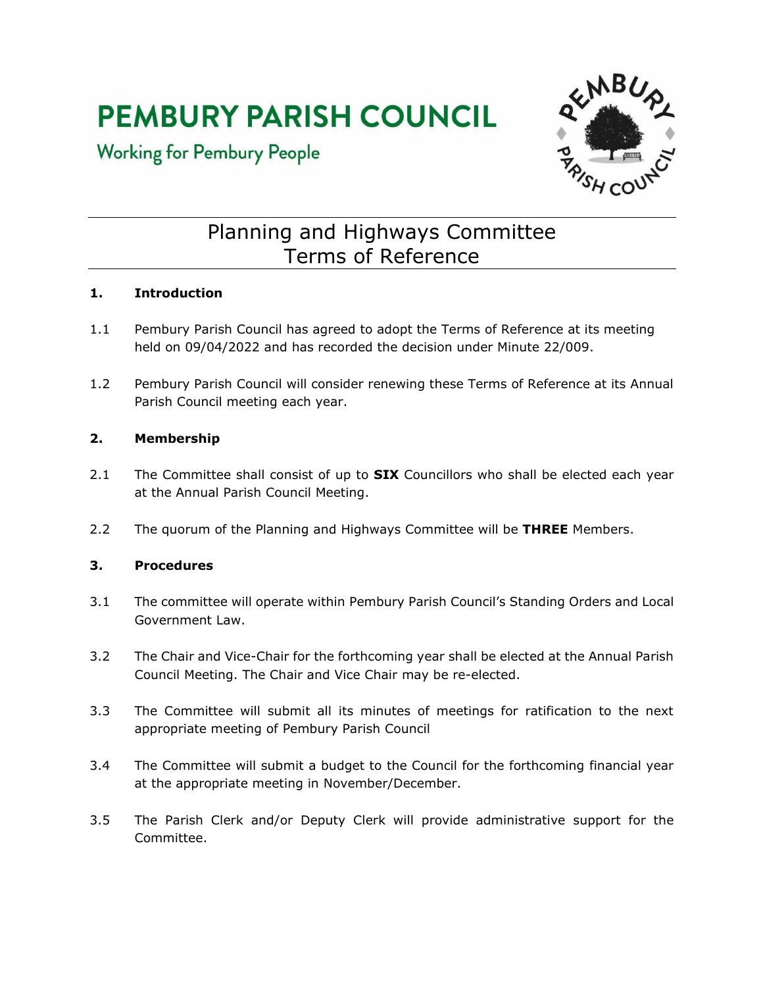# **PEMBURY PARISH COUNCIL**

### **Working for Pembury People**



## Planning and Highways Committee Terms of Reference

#### **1. Introduction**

- 1.1 Pembury Parish Council has agreed to adopt the Terms of Reference at its meeting held on 09/04/2022 and has recorded the decision under Minute 22/009.
- 1.2 Pembury Parish Council will consider renewing these Terms of Reference at its Annual Parish Council meeting each year.

#### **2. Membership**

- 2.1 The Committee shall consist of up to **SIX** Councillors who shall be elected each year at the Annual Parish Council Meeting.
- 2.2 The quorum of the Planning and Highways Committee will be **THREE** Members.

#### **3. Procedures**

- 3.1 The committee will operate within Pembury Parish Council's Standing Orders and Local Government Law.
- 3.2 The Chair and Vice-Chair for the forthcoming year shall be elected at the Annual Parish Council Meeting. The Chair and Vice Chair may be re-elected.
- 3.3 The Committee will submit all its minutes of meetings for ratification to the next appropriate meeting of Pembury Parish Council
- 3.4 The Committee will submit a budget to the Council for the forthcoming financial year at the appropriate meeting in November/December.
- 3.5 The Parish Clerk and/or Deputy Clerk will provide administrative support for the Committee.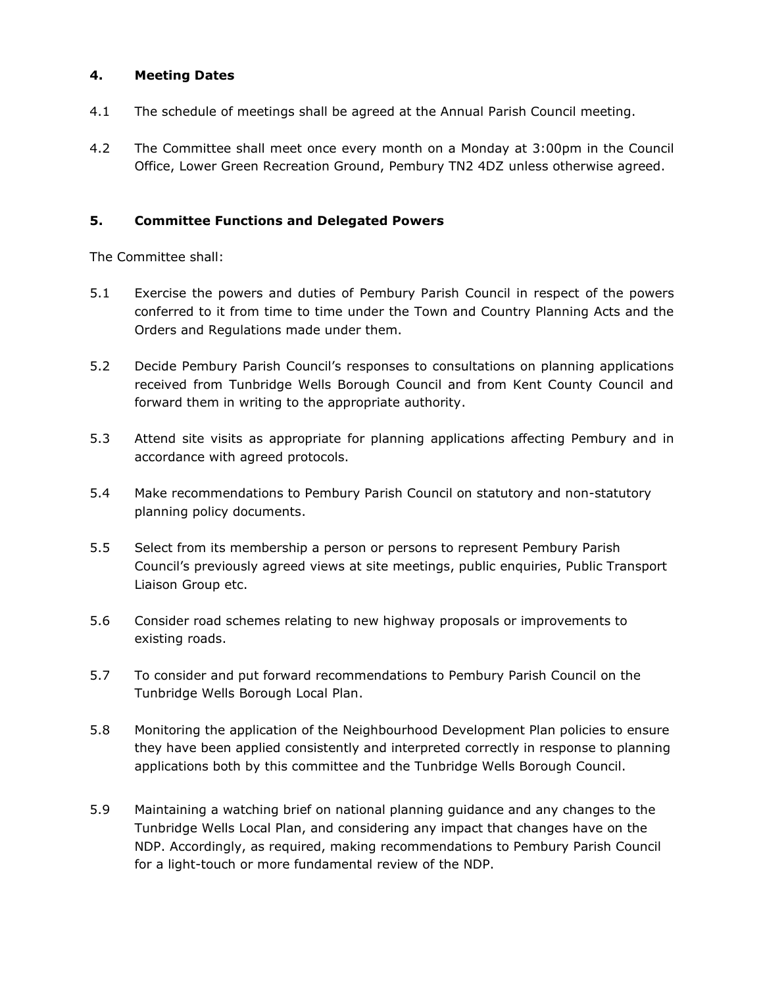#### **4. Meeting Dates**

- 4.1 The schedule of meetings shall be agreed at the Annual Parish Council meeting.
- 4.2 The Committee shall meet once every month on a Monday at 3:00pm in the Council Office, Lower Green Recreation Ground, Pembury TN2 4DZ unless otherwise agreed.

#### **5. Committee Functions and Delegated Powers**

The Committee shall:

- 5.1 Exercise the powers and duties of Pembury Parish Council in respect of the powers conferred to it from time to time under the Town and Country Planning Acts and the Orders and Regulations made under them.
- 5.2 Decide Pembury Parish Council's responses to consultations on planning applications received from Tunbridge Wells Borough Council and from Kent County Council and forward them in writing to the appropriate authority.
- 5.3 Attend site visits as appropriate for planning applications affecting Pembury and in accordance with agreed protocols.
- 5.4 Make recommendations to Pembury Parish Council on statutory and non-statutory planning policy documents.
- 5.5 Select from its membership a person or persons to represent Pembury Parish Council's previously agreed views at site meetings, public enquiries, Public Transport Liaison Group etc.
- 5.6 Consider road schemes relating to new highway proposals or improvements to existing roads.
- 5.7 To consider and put forward recommendations to Pembury Parish Council on the Tunbridge Wells Borough Local Plan.
- 5.8 Monitoring the application of the Neighbourhood Development Plan policies to ensure they have been applied consistently and interpreted correctly in response to planning applications both by this committee and the Tunbridge Wells Borough Council.
- 5.9 Maintaining a watching brief on national planning guidance and any changes to the Tunbridge Wells Local Plan, and considering any impact that changes have on the NDP. Accordingly, as required, making recommendations to Pembury Parish Council for a light-touch or more fundamental review of the NDP.